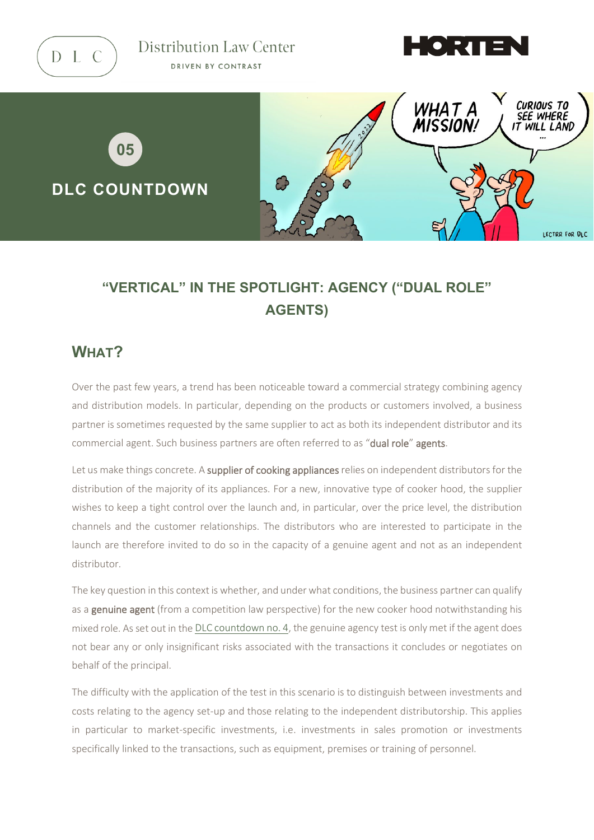

Distribution Law Center DRIVEN BY CONTRAST





# **"VERTICAL" IN THE SPOTLIGHT: AGENCY ("DUAL ROLE" AGENTS)**

## **WHAT?**

Over the past few years, a trend has been noticeable toward a commercial strategy combining agency and distribution models. In particular, depending on the products or customers involved, a business partner is sometimes requested by the same supplier to act as both its independent distributor and its commercial agent. Such business partners are often referred to as "dual role" agents.

Let us make things concrete. A supplier of cooking appliances relies on independent distributors for the distribution of the majority of its appliances. For a new, innovative type of cooker hood, the supplier wishes to keep a tight control over the launch and, in particular, over the price level, the distribution channels and the customer relationships. The distributors who are interested to participate in the launch are therefore invited to do so in the capacity of a genuine agent and not as an independent distributor.

The key question in this context is whether, and under what conditions, the business partner can qualify as a **genuine agent** (from a competition law perspective) for the new cooker hood notwithstanding his mixed role. As set out in the [DLC countdown](https://www.distributionlawcenter.com/news-analysis/countdown-4-agency-definition-and-temporary-transfer-of-ownership/) no. 4, the genuine agency test is only met if the agent does not bear any or only insignificant risks associated with the transactions it concludes or negotiates on behalf of the principal.

The difficulty with the application of the test in this scenario is to distinguish between investments and costs relating to the agency set-up and those relating to the independent distributorship. This applies in particular to market-specific investments, i.e. investments in sales promotion or investments specifically linked to the transactions, such as equipment, premises or training of personnel.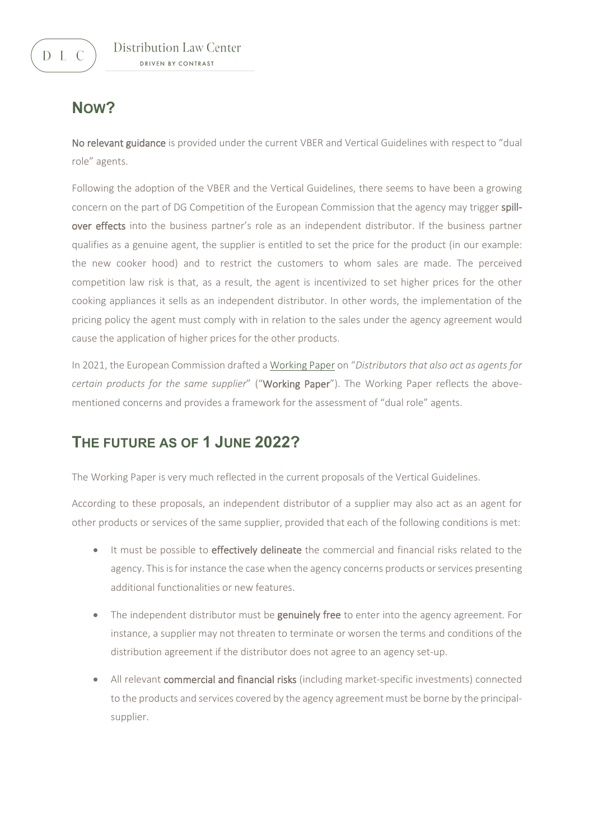## **NOW?**

No relevant guidance is provided under the current VBER and Vertical Guidelines with respect to "dual role" agents.

Following the adoption of the VBER and the Vertical Guidelines, there seems to have been a growing concern on the part of DG Competition of the European Commission that the agency may trigger spillover effects into the business partner's role as an independent distributor. If the business partner qualifies as a genuine agent, the supplier is entitled to set the price for the product (in our example: the new cooker hood) and to restrict the customers to whom sales are made. The perceived competition law risk is that, as a result, the agent is incentivized to set higher prices for the other cooking appliances it sells as an independent distributor. In other words, the implementation of the pricing policy the agent must comply with in relation to the sales under the agency agreement would cause the application of higher prices for the other products.

In 2021, the European Commission drafted [a Working Paper](https://ec.europa.eu/competition/consultations/2018_vber/working_paper_on_dual_role_agents.pdf) on "*Distributors that also act as agents for certain products for the same supplier*" ("Working Paper"). The Working Paper reflects the abovementioned concerns and provides a framework for the assessment of "dual role" agents.

## **THE FUTURE AS OF 1 JUNE 2022?**

The Working Paper is very much reflected in the current proposals of the Vertical Guidelines.

According to these proposals, an independent distributor of a supplier may also act as an agent for other products or services of the same supplier, provided that each of the following conditions is met:

- It must be possible to *effectively delineate* the commercial and financial risks related to the agency. This is for instance the case when the agency concerns products or services presenting additional functionalities or new features.
- The independent distributor must be genuinely free to enter into the agency agreement. For instance, a supplier may not threaten to terminate or worsen the terms and conditions of the distribution agreement if the distributor does not agree to an agency set-up.
- All relevant commercial and financial risks (including market-specific investments) connected to the products and services covered by the agency agreement must be borne by the principalsupplier.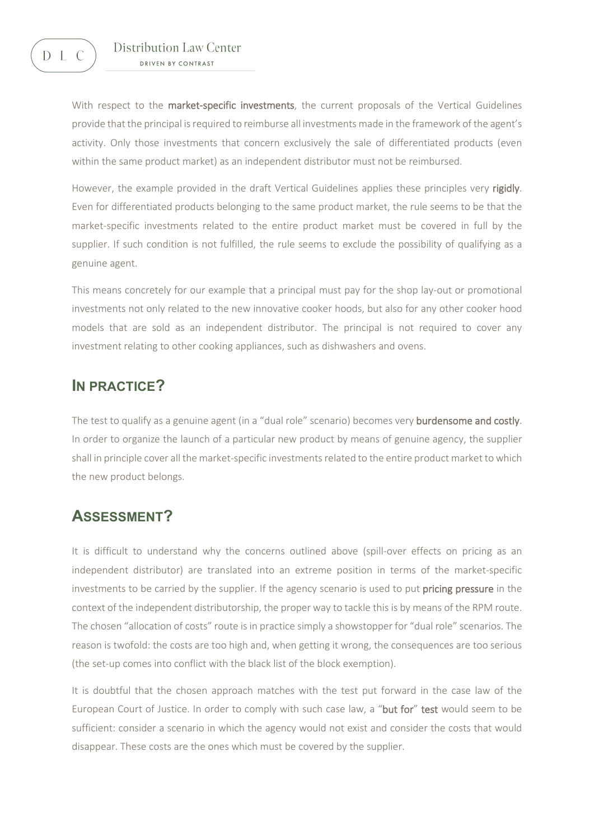

#### Distribution Law Center DRIVEN BY CONTRAST

With respect to the market-specific investments, the current proposals of the Vertical Guidelines provide that the principal is required to reimburse all investments made in the framework of the agent's activity. Only those investments that concern exclusively the sale of differentiated products (even within the same product market) as an independent distributor must not be reimbursed.

However, the example provided in the draft Vertical Guidelines applies these principles very rigidly. Even for differentiated products belonging to the same product market, the rule seems to be that the market-specific investments related to the entire product market must be covered in full by the supplier. If such condition is not fulfilled, the rule seems to exclude the possibility of qualifying as a genuine agent.

This means concretely for our example that a principal must pay for the shop lay-out or promotional investments not only related to the new innovative cooker hoods, but also for any other cooker hood models that are sold as an independent distributor. The principal is not required to cover any investment relating to other cooking appliances, such as dishwashers and ovens.

## **IN PRACTICE?**

The test to qualify as a genuine agent (in a "dual role" scenario) becomes very burdensome and costly. In order to organize the launch of a particular new product by means of genuine agency, the supplier shall in principle cover all the market-specific investments related to the entire product market to which the new product belongs.

### **ASSESSMENT?**

It is difficult to understand why the concerns outlined above (spill-over effects on pricing as an independent distributor) are translated into an extreme position in terms of the market-specific investments to be carried by the supplier. If the agency scenario is used to put **pricing pressure** in the context of the independent distributorship, the proper way to tackle this is by means of the RPM route. The chosen "allocation of costs" route is in practice simply a showstopper for "dual role" scenarios. The reason is twofold: the costs are too high and, when getting it wrong, the consequences are too serious (the set-up comes into conflict with the black list of the block exemption).

It is doubtful that the chosen approach matches with the test put forward in the case law of the European Court of Justice. In order to comply with such case law, a "but for" test would seem to be sufficient: consider a scenario in which the agency would not exist and consider the costs that would disappear. These costs are the ones which must be covered by the supplier.